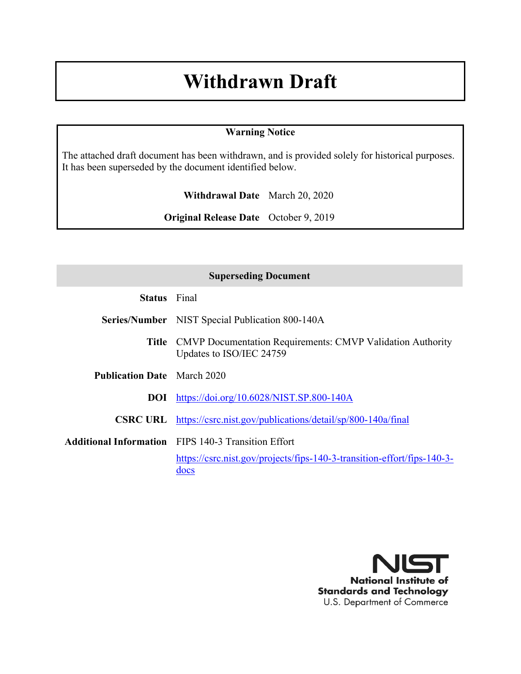# **Withdrawn Draft**

# **Warning Notice**

The attached draft document has been withdrawn, and is provided solely for historical purposes. It has been superseded by the document identified below.

**Withdrawal Date** March 20, 2020

**Original Release Date** October 9, 2019

| <b>Superseding Document</b>        |                                                                                                     |  |
|------------------------------------|-----------------------------------------------------------------------------------------------------|--|
| <b>Status</b> Final                |                                                                                                     |  |
|                                    | <b>Series/Number</b> NIST Special Publication 800-140A                                              |  |
|                                    | <b>Title</b> CMVP Documentation Requirements: CMVP Validation Authority<br>Updates to ISO/IEC 24759 |  |
| <b>Publication Date</b> March 2020 |                                                                                                     |  |
| DOL                                | https://doi.org/10.6028/NIST.SP.800-140A                                                            |  |
|                                    | <b>CSRC URL</b> https://csrc.nist.gov/publications/detail/sp/800-140a/final                         |  |
|                                    | <b>Additional Information</b> FIPS 140-3 Transition Effort                                          |  |
|                                    | https://csrc.nist.gov/projects/fips-140-3-transition-effort/fips-140-3-<br>docs                     |  |

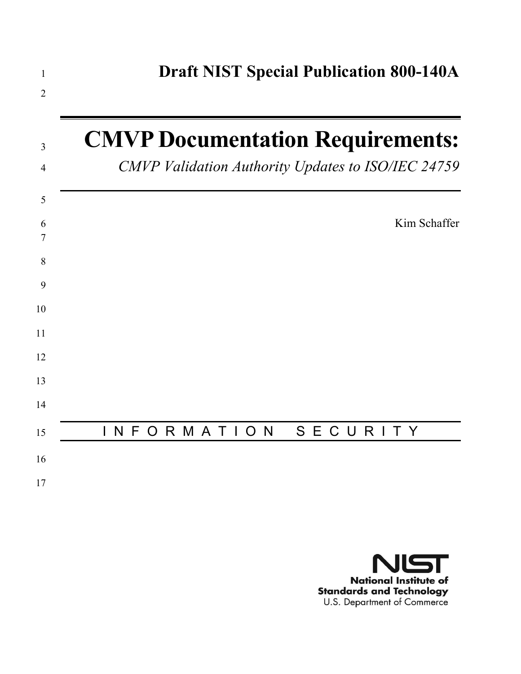| <b>CMVP Documentation Requirements:</b>            |  |            |  |
|----------------------------------------------------|--|------------|--|
| CMVP Validation Authority Updates to ISO/IEC 24759 |  |            |  |
| Kim Schaffer                                       |  |            |  |
|                                                    |  |            |  |
|                                                    |  |            |  |
|                                                    |  |            |  |
|                                                    |  |            |  |
|                                                    |  |            |  |
|                                                    |  |            |  |
|                                                    |  |            |  |
| SECURITY                                           |  | NFORMATION |  |

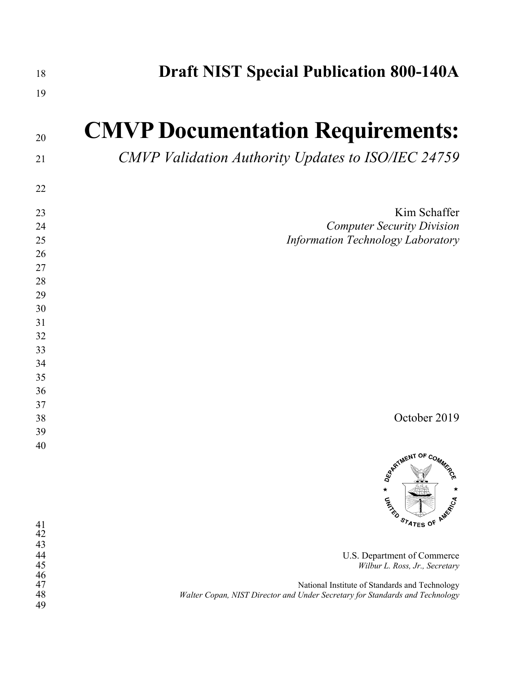| 18             | <b>Draft NIST Special Publication 800-140A</b>                                                                                 |
|----------------|--------------------------------------------------------------------------------------------------------------------------------|
| 19             |                                                                                                                                |
|                |                                                                                                                                |
| 20             | <b>CMVP Documentation Requirements:</b>                                                                                        |
| 21             | CMVP Validation Authority Updates to ISO/IEC 24759                                                                             |
| 22             |                                                                                                                                |
| 23             | Kim Schaffer                                                                                                                   |
| 24             | <b>Computer Security Division</b>                                                                                              |
| 25             | <b>Information Technology Laboratory</b>                                                                                       |
| 26             |                                                                                                                                |
| 27             |                                                                                                                                |
| 28             |                                                                                                                                |
| 29             |                                                                                                                                |
| 30             |                                                                                                                                |
| 31             |                                                                                                                                |
| 32             |                                                                                                                                |
| 33             |                                                                                                                                |
| 34             |                                                                                                                                |
| 35             |                                                                                                                                |
| 36             |                                                                                                                                |
| 37             | October 2019                                                                                                                   |
| 38             |                                                                                                                                |
| 39             |                                                                                                                                |
| 40             | SPATTMENT OF COMMISSION<br>$\star$<br><b>CANTAGE</b>                                                                           |
| 41<br>42<br>43 | STATES OF AMERICA                                                                                                              |
| 44<br>45<br>46 | U.S. Department of Commerce<br>Wilbur L. Ross, Jr., Secretary                                                                  |
| 47<br>48<br>49 | National Institute of Standards and Technology<br>Walter Copan, NIST Director and Under Secretary for Standards and Technology |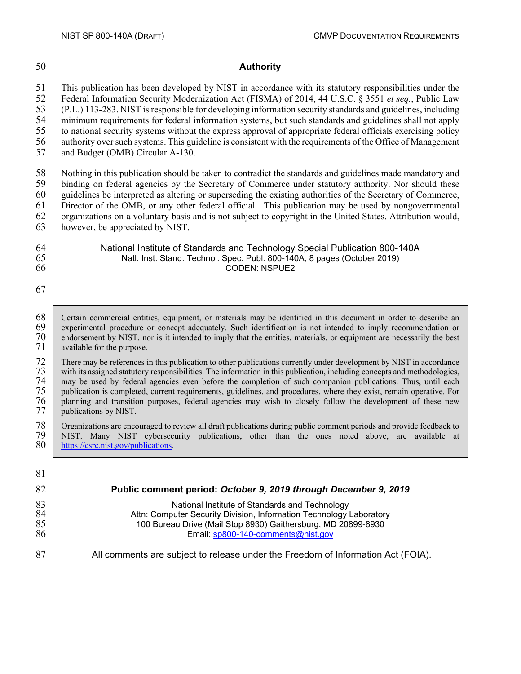### **Authority**

51 This publication has been developed by NIST in accordance with its statutory responsibilities under the 52 Federal Information Security Modernization Act (FISMA) of 2014, 44 U.S.C. § 3551 *et seq.*, Public Law

 Federal Information Security Modernization Act (FISMA) of 2014, 44 U.S.C. § 3551 *et seq.*, Public Law (P.L.) 113-283. NIST is responsible for developing information security standards and guidelines, including

minimum requirements for federal information systems, but such standards and guidelines shall not apply

to national security systems without the express approval of appropriate federal officials exercising policy

authority over such systems. This guideline is consistent with the requirements of the Office of Management

and Budget (OMB) Circular A-130.

58 Nothing in this publication should be taken to contradict the standards and guidelines made mandatory and<br>59 binding on federal agencies by the Secretary of Commerce under statutory authority. Nor should these 59 binding on federal agencies by the Secretary of Commerce under statutory authority. Nor should these<br>60 guidelines be interpreted as altering or superseding the existing authorities of the Secretary of Commerce, guidelines be interpreted as altering or superseding the existing authorities of the Secretary of Commerce, Director of the OMB, or any other federal official. This publication may be used by nongovernmental organizations on a voluntary basis and is not subject to copyright in the United States. Attribution would, however, be appreciated by NIST.

| 64 | National Institute of Standards and Technology Special Publication 800-140A |
|----|-----------------------------------------------------------------------------|
| 65 | Natl. Inst. Stand. Technol. Spec. Publ. 800-140A, 8 pages (October 2019)    |
| 66 | CODEN: NSPUE2                                                               |

68 Certain commercial entities, equipment, or materials may be identified in this document in order to describe an experimental procedure or concept adequately. Such identification is not intended to imply recommendation o 69 experimental procedure or concept adequately. Such identification is not intended to imply recommendation or endorsement by NIST, nor is it intended to imply that the entities, materials, or equipment are necessarily th 70 endorsement by NIST, nor is it intended to imply that the entities, materials, or equipment are necessarily the best available for the purpose. available for the purpose.

There may be references in this publication to other publications currently under development by NIST in accordance with its assigned statutory responsibilities. The information in this publication, including concepts and with its assigned statutory responsibilities. The information in this publication, including concepts and methodologies, 74 may be used by federal agencies even before the completion of such companion publications. Thus, until each publication is completed, current requirements, guidelines, and procedures, where they exist, remain operative. 75 publication is completed, current requirements, guidelines, and procedures, where they exist, remain operative. For planning and transition purposes, federal agencies may wish to closely follow the development of these planning and transition purposes, federal agencies may wish to closely follow the development of these new publications by NIST.

78 Organizations are encouraged to review all draft publications during public comment periods and provide feedback to 79 NIST. Many NIST cybersecurity publications, other than the ones noted above, are available at 79 NIST. Many NIST cybersecurity publications, other than the ones noted above, are available at https://csrc.nist.gov/publications. [https://csrc.nist.gov/publications.](https://csrc.nist.gov/publications)

| 81 |                                                                                  |
|----|----------------------------------------------------------------------------------|
| 82 | Public comment period: October 9, 2019 through December 9, 2019                  |
| 83 | National Institute of Standards and Technology                                   |
| 84 | Attn: Computer Security Division, Information Technology Laboratory              |
| 85 | 100 Bureau Drive (Mail Stop 8930) Gaithersburg, MD 20899-8930                    |
| 86 | Email: sp800-140-comments@nist.gov                                               |
| 87 | All comments are subject to release under the Freedom of Information Act (FOIA). |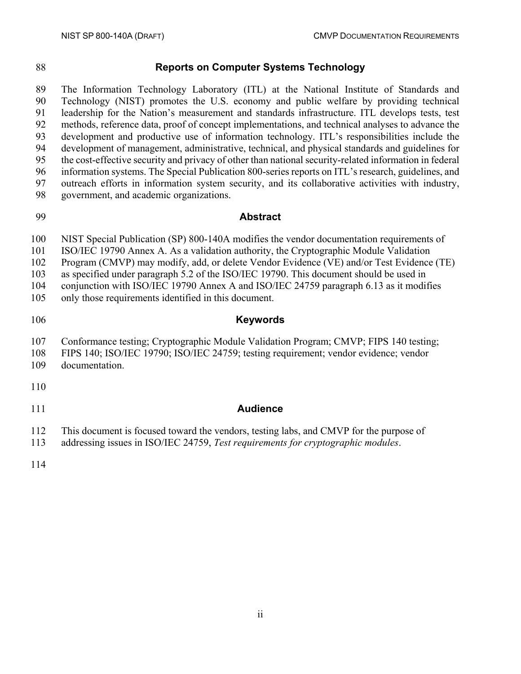# **Reports on Computer Systems Technology**

 The Information Technology Laboratory (ITL) at the National Institute of Standards and Technology (NIST) promotes the U.S. economy and public welfare by providing technical leadership for the Nation's measurement and standards infrastructure. ITL develops tests, test methods, reference data, proof of concept implementations, and technical analyses to advance the development and productive use of information technology. ITL's responsibilities include the development of management, administrative, technical, and physical standards and guidelines for the cost-effective security and privacy of other than national security-related information in federal information systems. The Special Publication 800-series reports on ITL's research, guidelines, and outreach efforts in information system security, and its collaborative activities with industry, government, and academic organizations.

# **Abstract**

NIST Special Publication (SP) 800-140A modifies the vendor documentation requirements of

ISO/IEC 19790 Annex A. As a validation authority, the Cryptographic Module Validation

Program (CMVP) may modify, add, or delete Vendor Evidence (VE) and/or Test Evidence (TE)

as specified under paragraph 5.2 of the ISO/IEC 19790. This document should be used in

conjunction with ISO/IEC 19790 Annex A and ISO/IEC 24759 paragraph 6.13 as it modifies

only those requirements identified in this document.

# **Keywords**

Conformance testing; Cryptographic Module Validation Program; CMVP; FIPS 140 testing;

- FIPS 140; ISO/IEC 19790; ISO/IEC 24759; testing requirement; vendor evidence; vendor documentation.
- 
- 

# **Audience**

This document is focused toward the vendors, testing labs, and CMVP for the purpose of

addressing issues in ISO/IEC 24759, *Test requirements for cryptographic modules*.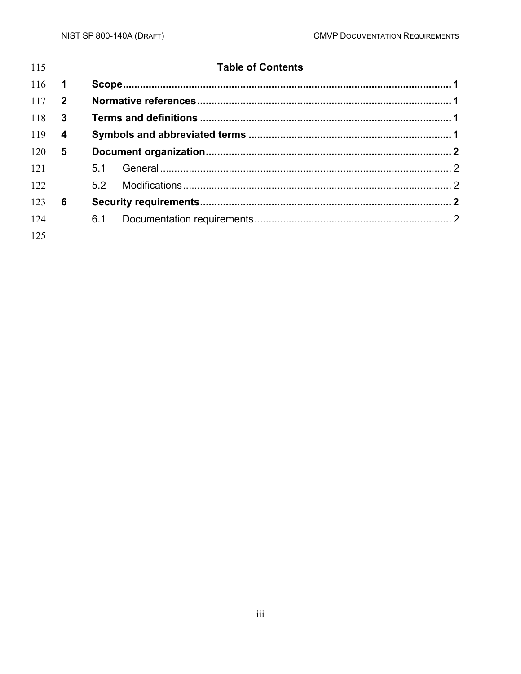| 115 |                         | <b>Table of Contents</b> |  |  |
|-----|-------------------------|--------------------------|--|--|
| 116 | $\overline{\mathbf{1}}$ |                          |  |  |
| 117 | $\overline{\mathbf{2}}$ |                          |  |  |
| 118 | 3                       |                          |  |  |
| 119 | 4                       |                          |  |  |
| 120 | 5                       |                          |  |  |
| 121 |                         | 5.1                      |  |  |
| 122 |                         | 52                       |  |  |
| 123 | 6                       |                          |  |  |
| 124 |                         | 6.1                      |  |  |
| 125 |                         |                          |  |  |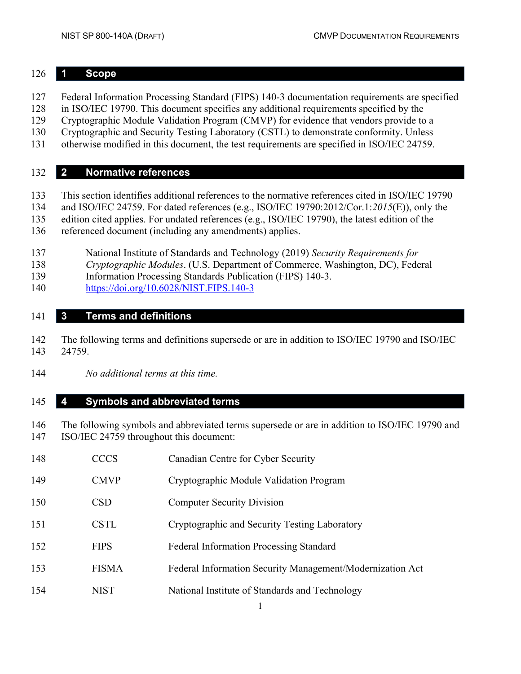#### <span id="page-6-0"></span>**1 Scope**

- Federal Information Processing Standard (FIPS) 140-3 documentation requirements are specified
- in ISO/IEC 19790. This document specifies any additional requirements specified by the
- Cryptographic Module Validation Program (CMVP) for evidence that vendors provide to a
- Cryptographic and Security Testing Laboratory (CSTL) to demonstrate conformity. Unless
- otherwise modified in this document, the test requirements are specified in ISO/IEC 24759.

### <span id="page-6-1"></span>**2 Normative references**

- This section identifies additional references to the normative references cited in ISO/IEC 19790
- and ISO/IEC 24759. For dated references (e.g., ISO/IEC 19790:2012/Cor.1:*2015*(E)), only the
- edition cited applies. For undated references (e.g., ISO/IEC 19790), the latest edition of the
- referenced document (including any amendments) applies.
- National Institute of Standards and Technology (2019) *Security Requirements for*
- *Cryptographic Modules*. (U.S. Department of Commerce, Washington, DC), Federal
- 139 Information Processing Standards Publication (FIPS) 140-3.
- <https://doi.org/10.6028/NIST.FIPS.140-3>

# <span id="page-6-2"></span>**3 Terms and definitions**

- The following terms and definitions supersede or are in addition to ISO/IEC 19790 and ISO/IEC 24759.
- *No additional terms at this time.*

### <span id="page-6-3"></span>**4 Symbols and abbreviated terms**

 The following symbols and abbreviated terms supersede or are in addition to ISO/IEC 19790 and ISO/IEC 24759 throughout this document:

| 148 | CCCS         | Canadian Centre for Cyber Security                        |
|-----|--------------|-----------------------------------------------------------|
| 149 | <b>CMVP</b>  | Cryptographic Module Validation Program                   |
| 150 | <b>CSD</b>   | <b>Computer Security Division</b>                         |
| 151 | <b>CSTL</b>  | Cryptographic and Security Testing Laboratory             |
| 152 | <b>FIPS</b>  | <b>Federal Information Processing Standard</b>            |
| 153 | <b>FISMA</b> | Federal Information Security Management/Modernization Act |
| 154 | NIST         | National Institute of Standards and Technology            |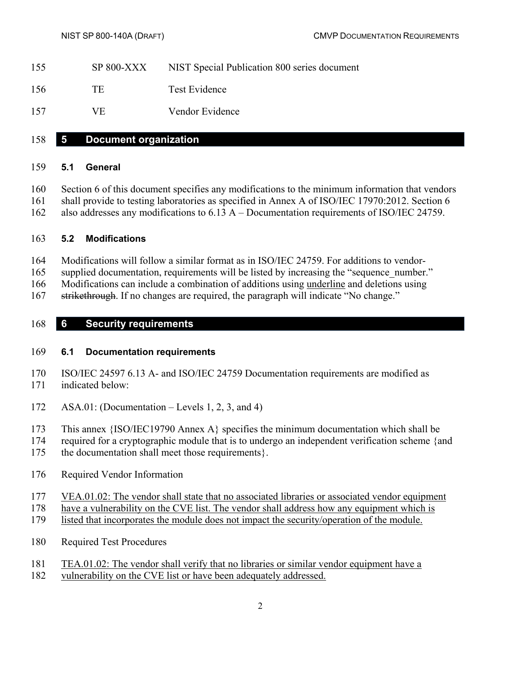- SP 800-XXX NIST Special Publication 800 series document 156 TE Test Evidence
- VE Vendor Evidence

# <span id="page-7-0"></span>**5 Document organization**

#### <span id="page-7-1"></span>**5.1 General**

- Section 6 of this document specifies any modifications to the minimum information that vendors
- shall provide to testing laboratories as specified in Annex A of ISO/IEC 17970:2012. Section 6
- also addresses any modifications to 6.13 A Documentation requirements of ISO/IEC 24759.

### <span id="page-7-2"></span>**5.2 Modifications**

- Modifications will follow a similar format as in ISO/IEC 24759. For additions to vendor-
- supplied documentation, requirements will be listed by increasing the "sequence\_number."
- Modifications can include a combination of additions using underline and deletions using
- strikethrough. If no changes are required, the paragraph will indicate "No change."

### <span id="page-7-3"></span>**6 Security requirements**

### <span id="page-7-4"></span>**6.1 Documentation requirements**

- ISO/IEC 24597 6.13 A- and ISO/IEC 24759 Documentation requirements are modified as
- indicated below:
- ASA.01: (Documentation Levels 1, 2, 3, and 4)
- This annex {ISO/IEC19790 Annex A} specifies the minimum documentation which shall be
- required for a cryptographic module that is to undergo an independent verification scheme {and the documentation shall meet those requirements}.
- Required Vendor Information
- VEA.01.02: The vendor shall state that no associated libraries or associated vendor equipment
- have a vulnerability on the CVE list. The vendor shall address how any equipment which is
- listed that incorporates the module does not impact the security/operation of the module.
- Required Test Procedures
- TEA.01.02: The vendor shall verify that no libraries or similar vendor equipment have a 182 vulnerability on the CVE list or have been adequately addressed.